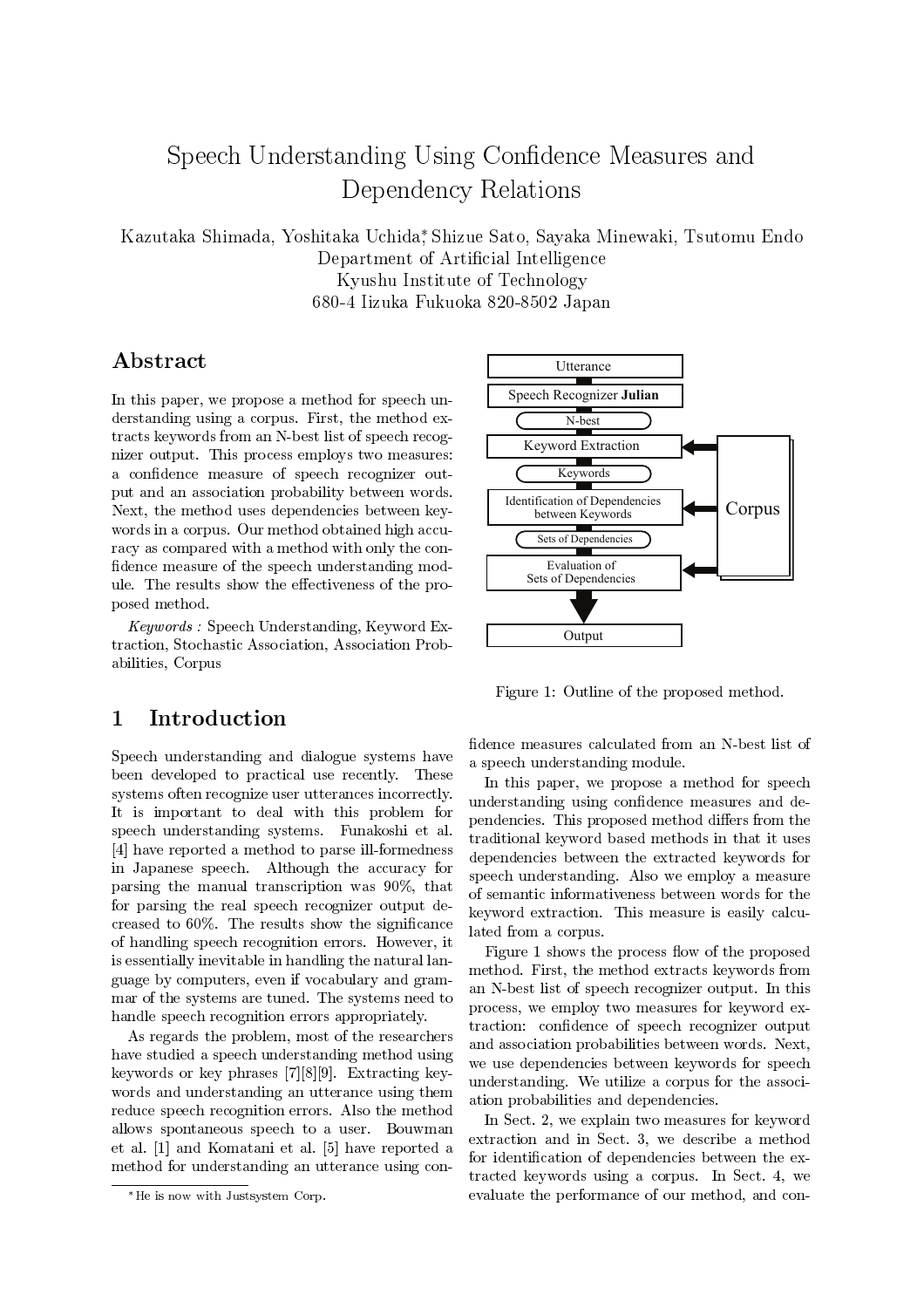# Speech Understanding Using Confidence Measures and Dependency Relations

Kazutaka Shimada, Yoshitaka Uchida, Shizue Sato, Sayaka Minewaki, Tsutomu Endo Department of Artificial Intelligence Kyushu Institute of Technology 680-4 Iizuka Fukuoka 820-8502 Japan

## Abstract

In this paper, we propose a method for speech understanding using a corpus. First, the method extracts keywords from an N-best list of speech recognizer output. This process employs two measures: a confidence measure of speech recognizer output and an association probability between words. Next, the method uses dependencies between keywords in a corpus. Our method obtained high accuracy as compared with a method with only the confidence measure of the speech understanding module. The results show the effectiveness of the proposed method.

*Keywords:* Speech Understanding, Keyword Extraction. Stochastic Association. Association Probabilities, Corpus

#### Introduction  $\mathbf 1$

Speech understanding and dialogue systems have been developed to practical use recently. These systems often recognize user utterances incorrectly. It is important to deal with this problem for speech understanding systems. Funakoshi et al. [4] have reported a method to parse ill-formedness in Japanese speech. Although the accuracy for parsing the manual transcription was 90%, that for parsing the real speech recognizer output decreased to  $60\%$ . The results show the significance of handling speech recognition errors. However, it is essentially inevitable in handling the natural language by computers, even if vocabulary and grammar of the systems are tuned. The systems need to handle speech recognition errors appropriately.

As regards the problem, most of the researchers have studied a speech understanding method using keywords or key phrases  $[7][8][9]$ . Extracting keywords and understanding an utterance using them reduce speech recognition errors. Also the method allows spontaneous speech to a user. Bouwman et al. [1] and Komatani et al. [5] have reported a method for understanding an utterance using con-



Figure 1: Outline of the proposed method.

fidence measures calculated from an N-best list of a speech understanding module.

In this paper, we propose a method for speech understanding using confidence measures and dependencies. This proposed method differs from the traditional keyword based methods in that it uses dependencies between the extracted keywords for speech understanding. Also we employ a measure of semantic informativeness between words for the keyword extraction. This measure is easily calculated from a corpus.

Figure 1 shows the process flow of the proposed method. First, the method extracts keywords from an N-best list of speech recognizer output. In this process, we employ two measures for keyword extraction: confidence of speech recognizer output and association probabilities between words. Next, we use dependencies between keywords for speech understanding. We utilize a corpus for the association probabilities and dependencies.

In Sect. 2, we explain two measures for keyword extraction and in Sect. 3, we describe a method for identification of dependencies between the extracted keywords using a corpus. In Sect. 4, we evaluate the performance of our method, and con-

<sup>\*</sup>He is now with Justsystem Corp.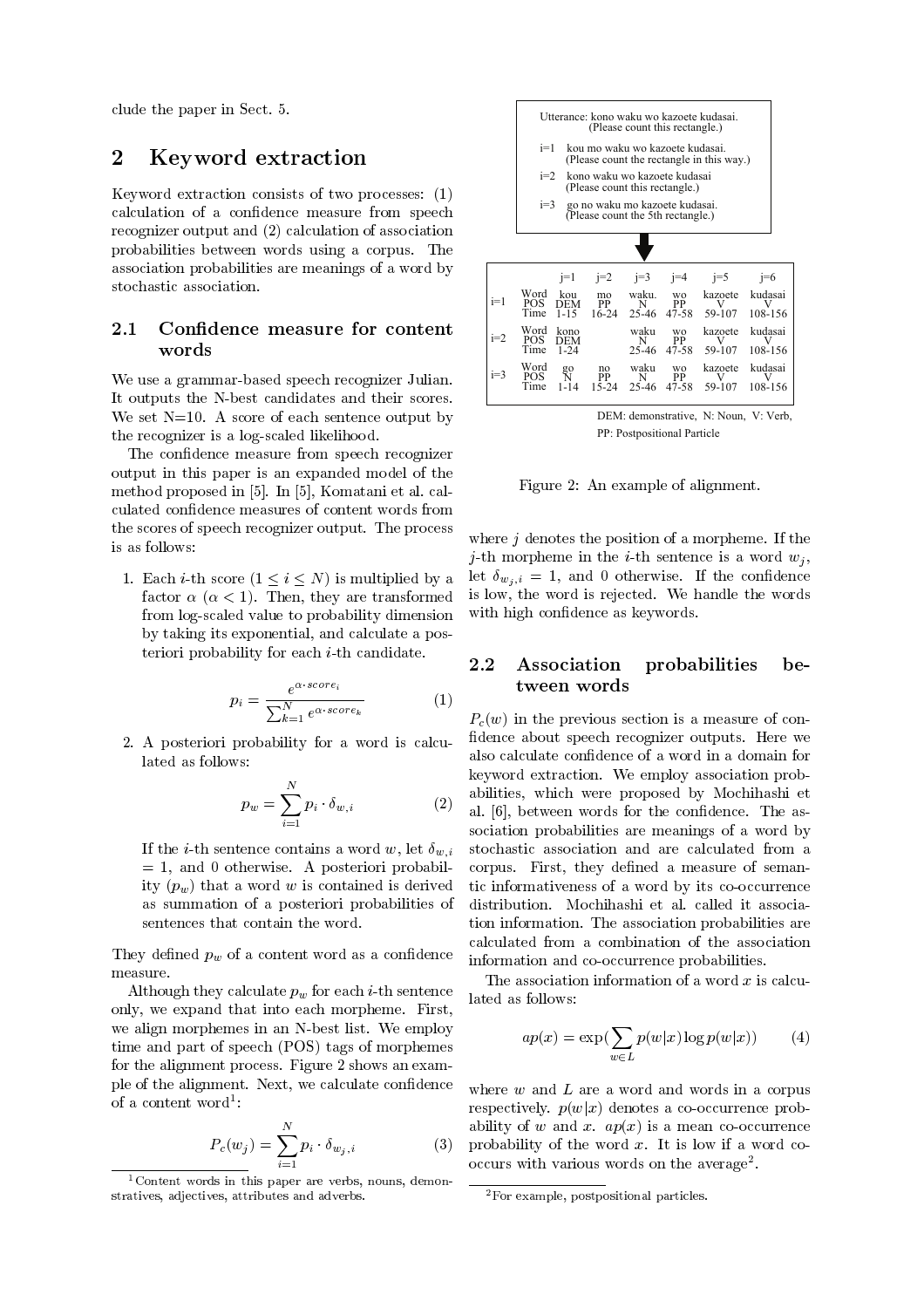- \$ 8

## 2 Keyword extraction

 $\mathbb{R}$  . The contract of the contract of the contract of the contract of the contract of the contract of the contract of the contract of the contract of the contract of the contract of the contract of the contract of th - And the state of the state of the state of the state of the state of the state of the state of the state of the state of the state of the state of the state of the state of the state of the state of the state of the stat 
- 
 - =;> 
- 

-  -  example to the contract of the contract of the contract of the contract of the contract of the contract of the

### 2.1

 $\blacksquare$  . The set of the set of the set of the set of the set of the set of the set of the set of the set of the set of the set of the set of the set of the set of the set of the set of the set of the set of the set of the and the contract of the contract of the contract of the contract of the contract of the contract of the contract of the contract of the contract of the contract of the contract of the contract of the contract of the contra : ?70 ( 
 - - 

- 
 

 - - 
- - - - 
 - +8- - +8- &
 experience and the contract of the contract of the contract of the contract of the contract of the contract of is as follows:

1. Each *i*-th score  $(1 \le i \le N)$  is multiplied by a let  $\delta_w$  $\frac{1}{2}$   $\frac{1}{2}$   $\frac{1}{2}$   $\frac{1}{2}$   $\frac{1}{2}$   $\frac{1}{2}$   $\frac{1}{2}$   $\frac{1}{2}$   $\frac{1}{2}$   $\frac{1}{2}$   $\frac{1}{2}$   $\frac{1}{2}$   $\frac{1}{2}$   $\frac{1}{2}$   $\frac{1}{2}$   $\frac{1}{2}$   $\frac{1}{2}$   $\frac{1}{2}$   $\frac{1}{2}$   $\frac{1}{2}$   $\frac{1}{2}$   $\frac{1}{2}$  the contract of the contract of the contract of the contract of the contract of the contract of the contract of - 
- - - - 

$$
p_i = \frac{e^{\alpha \cdot score_i}}{\sum_{k=1}^{N} e^{\alpha \cdot score_k}}
$$
 (1)

 $\mathbf{r}$  , and  $\mathbf{r}$  is the contract of the contract of the contract of the contract of the contract of the contract of the contract of the contract of the contract of the contract of the contract of the contract of th lated as follows:

$$
p_w = \sum_{i=1}^{N} p_i \cdot \delta_{w,i} \tag{2}
$$

 - - 
-  e, we a consequence of processes per announce to the = >  
-- - 

 - 
- -  
- -

(
 - - $\mathbf{r}$  , and the contract of the contract of the contract of the contract of the contract of the contract of the contract of the contract of the contract of the contract of the contract of the contract of the contract o  - - - : - 
 =)!\$> 
  $\mathbf{A}$  , and a set of  $\mathbf{A}$  , and a set of  $\mathbf{A}$  , and a set of  $\mathbf{A}$  , and  $\mathbf{A}$  $\blacksquare$  . The contract of  $\blacksquare$  . The contract of the contract of the contract of the contract of the contract of the contract of the contract of the contract of the contract of the contract of the contract of the contrac or a content word : word a large to the second term of  $\sim$ 

$$
P_c(w_j) = \sum_{i=1}^{N} p_i \cdot \delta_{w_j, i}
$$
 abili  
prob  
occu



PP: Postpositional Particle

 $\blacksquare$  . The contract of the contract of the contract of the contract of the contract of the contract of the contract of the contract of the contract of the contract of the contract of the contract of the contract of the

  
- -   - 

- 
  $\overline{\phantom{a}}$  , and the contract of the contract of the contract of the contract of the contract of the contract of the contract of the contract of the contract of the contract of the contract of the contract of the contrac  $\omega_{\gamma},\iota$  , and the set of the set of the set of the set of the set of the set of the set of the set of the set of the set of the set of the set of the set of the set of the set of the set of the set of the set of the s 
  @ : - 

#### Association probabilities be- $2.2$ tween words

 $P_c(w)$  in the previous section is a measure of conabilities, which were proposed by mocinizating  $\cdot$   $\cdot$  al.  $\vert$  b, between words for the confidence. The as- $\mathbf{r}$  . The contract of the contract of the contract of the contract of the contract of the contract of the contract of the contract of the contract of the contract of the contract of the contract of the contract of th .... at the contract of the state of the state of the contract of information and co-occurrence probabilities. - 
- 3   - : 

- - --  - -- - - 

- 

> The association information of a word  $x$  is calcuated as follows:

$$
ap(x) = \exp\left(\sum_{w \in L} p(w|x) \log p(w|x)\right) \tag{4}
$$

where  $w$  and  $L$  are a word and words in a corpus # => - - - => - - occurs with various words on the average .

<sup>-</sup> Content words in this paper are veros, houns, demon- \_\_\_ - -- - -

<sup>-</sup> For example, postpositional particles.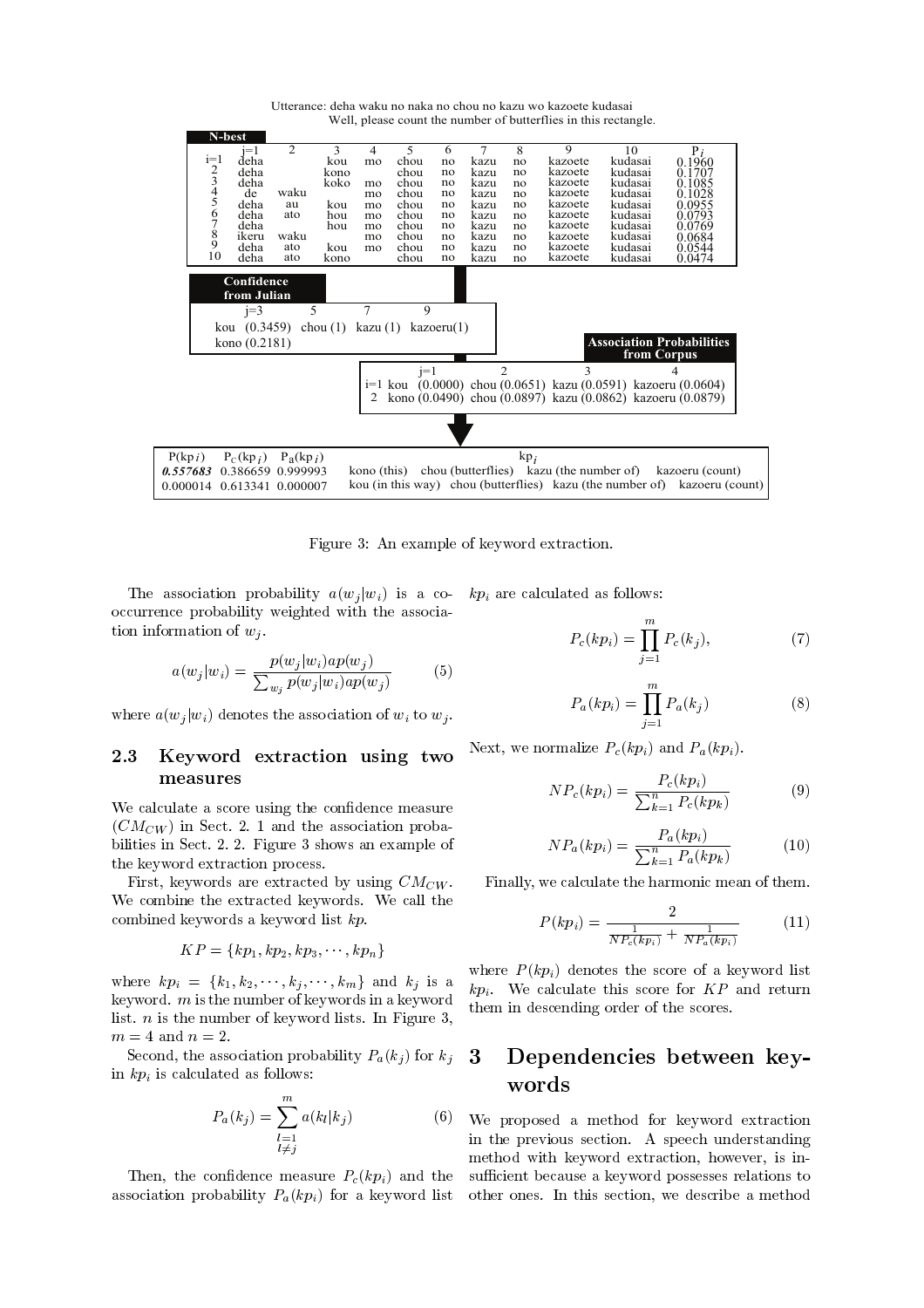

Utterance: deha waku no naka no chou no kazu wo kazoete kudasai Well, please count the number of butterflies in this rectangle.

 $\blacksquare$  . The contract of the contract of the contract of the contract of the contract of the contract of the contract of the contract of the contract of the contract of the contract of the contract of the contract of the

 $\Box$  if  $\Box$  if  $\Box$  if  $\Box$  if  $\Box$  -   - - - 

$$
a(w_j|w_i) = \frac{p(w_j|w_i)ap(w_j)}{\sum_{w_j} p(w_j|w_i)ap(w_j)}\tag{5}
$$

 = > - 

- 

### 2.3 measures

 $\blacksquare$  . The contract of  $\blacksquare$ <sup>=</sup> <sup>&</sup>gt; - \$ ; 7 - - - \$ ; ; < 
 - ---- ---, ..... -------------- p-------

  - : -  : -  

$$
KP=\{kp_1,kp_2,kp_3,\cdots,kp_n\}
$$

 $\mathcal{L}$   $\mathcal{L}$   $\mathcal{L}$   $\mathcal{L}$   $\mathcal{L}$   $\mathcal{L}$   $\mathcal{L}$   $\mathcal{L}$   $\mathcal{L}$   $\mathcal{L}$   $\mathcal{L}$   $\mathcal{L}$   $\mathcal{L}$   $\mathcal{L}$   $\mathcal{L}$   $\mathcal{L}$   $\mathcal{L}$   $\mathcal{L}$   $\mathcal{L}$   $\mathcal{L}$   $\mathcal{L}$   $\mathcal{L}$   $\mathcal{L}$   $\mathcal{L}$   $\mathcal{$   - 
  -  - 
  - < ? , - ? ;

\$ 
- 

- = > - 



$$
P_a(k_j) = \sum_{\substack{l=1\\l \neq j}}^m a(k_l|k_j)
$$
 (6)

 - - - => - - => 

$$
P_c(kp_i) = \prod_{j=1}^{m} P_c(k_j),
$$
 (7)

$$
P_a(kp_i) = \prod_{j=1}^{m} P_a(k_j)
$$
 (8)

  - => - =>

$$
NP_c(kp_i) = \frac{P_c(kp_i)}{\sum_{k=1}^{n} P_c(kp_k)} \tag{9}
$$

$$
NP_a(kp_i) = \frac{P_a(kp_i)}{\sum_{k=1}^{n} P_a(kp_k)}\tag{10}
$$

-  - - 
 

$$
P(kp_i) = \frac{2}{\frac{1}{NP_c(kp_i)} + \frac{1}{NP_a(kp_i)}}\tag{11}
$$

 $\tilde{\phantom{a}}$  them in descending order of the scores.  $\sqrt{1 + \nu}$  $\mathbf{r}$  ,  $\mathbf{r}$  ,  $\mathbf{r}$  ,  $\mathbf{r}$  ,  $\mathbf{r}$  ,  $\mathbf{r}$  ,  $\mathbf{r}$  ,  $\mathbf{r}$  ,  $\mathbf{r}$  ,  $\mathbf{r}$  ,  $\mathbf{r}$  ,  $\mathbf{r}$  ,  $\mathbf{r}$  ,  $\mathbf{r}$  ,  $\mathbf{r}$  ,  $\mathbf{r}$  ,  $\mathbf{r}$  ,  $\mathbf{r}$  ,  $\mathbf{r}$  ,  $\mathbf{r}$  ,

### 3 words

 $\mathbb{R}^n \setminus \mathbb{R}^n$  is a set of  $\mathbb{R}^n$  and  $\mathbb{R}^n$  is the proposed a method for keyword extraction - # 
- ( - --   -  # - C -  

- 
- - 
-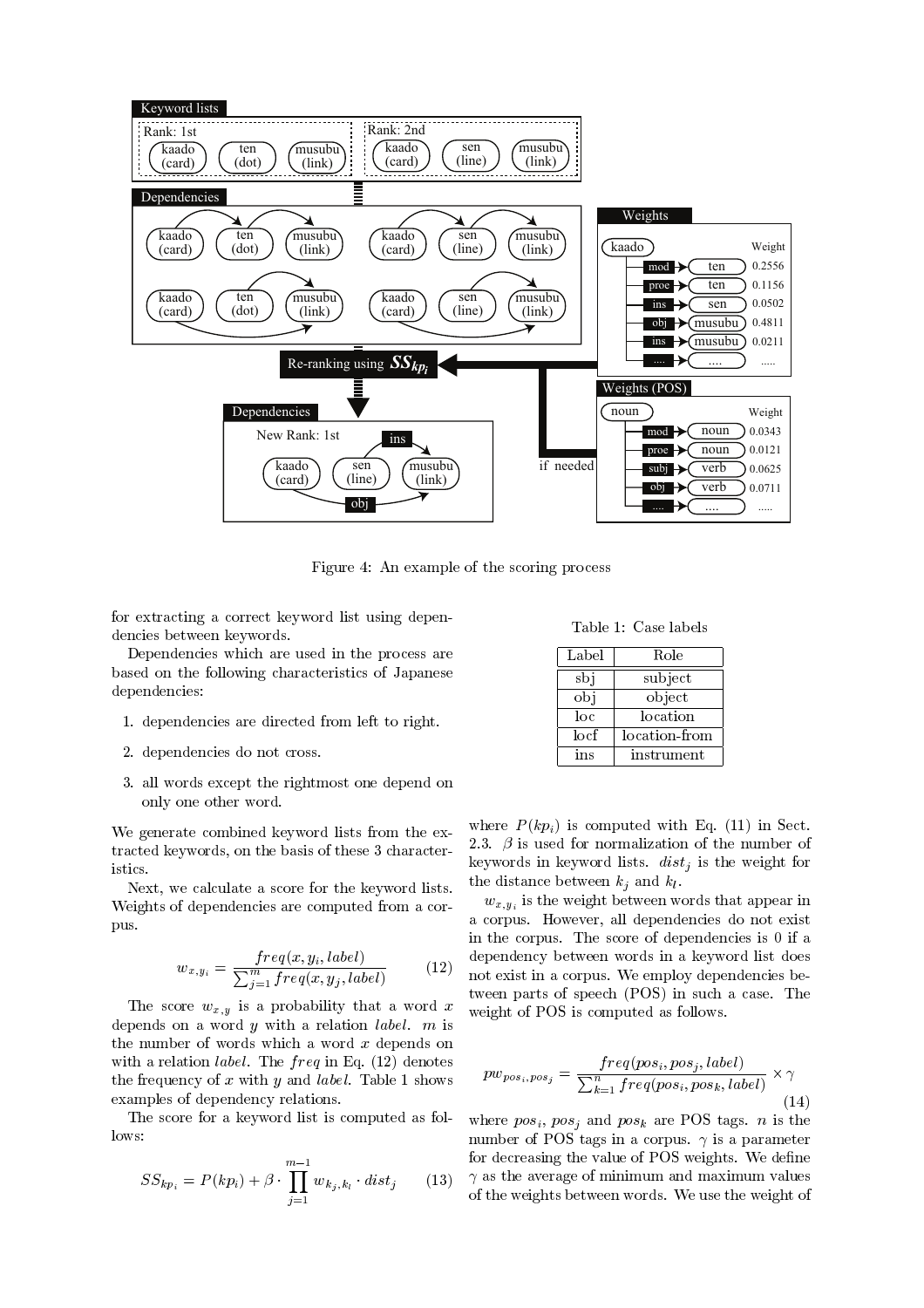

 , (- 
 - 

 -  - - -  - 

do a construction of the construction of the construction of the construction of the construction of the construction of the construction of the construction of the construction of the construction of the construction of t  $\overline{\phantom{a}}$  . The contract of the contract of the contract of the contract of the contract of the contract of the contract of the contract of the contract of the contract of the contract of the contract of the contract of - - 

- 7 - -
- ; - - 
 -
- <  
- - 
-- 
-

 $\mathbf{A}$  . The contract of the contract of the contract of the contract of the contract of the contract of the contract of the contract of the contract of the contract of the contract of the contract of the contract of th  
- 
 < istics.

  $\cdot$  . The contract of the contract of the contract of the contract of the contract of the contract of the contract of the contract of the contract of the contract of the contract of the contract of the contract of the co pus.

$$
w_{x,y_i} = \frac{freq(x, y_i, label)}{\sum_{j=1}^{m} freq(x, y_j, label)}
$$
(12)

  $\mathbf{J}$  . The contract of  $\mathbf{J}$  is a set of  $\mathbf{J}$  is a set of  $\mathbf{J}$  is a set of  $\mathbf{J}$  $\blacksquare$  . The contract of the contract of the contract of the contract of the contract of the contract of the contract of the contract of the contract of the contract of the contract of the contract of the contract of the with a relation *label*. The  $freq$  in Eq. (12) denotes . And the set of the state  $\alpha$  and  $\beta$  and the state of the state of the state of the state of the state of the state of the state of the state of the state of the state of the state of the state of the state of the sta and the contract of the contract of the contract of the contract of the contract of the contract of the contract of the contract of the contract of the contract of the contract of the contract of the contract of the contra

lows:

$$
SS_{kp_i} = P(kp_i) + \beta \cdot \prod_{j=1}^{m-1} w_{k_j, k_l} \cdot dist_j \qquad (13) \quad \gamma \text{ as} \\ \text{of } t.
$$

Table 1: Case labels

| Label | Role          |
|-------|---------------|
| sbi   | subject       |
| obi   | object        |
| loc   | location      |
| locf  | location-from |
| ins   | instrument    |

keywords in keyword lists.  $dist_i$  is the weight for where  $P(kp_i)$  is computed with Eq. (11) in Sect. ;< - - - -  -  -

 $\sim$   $\sim$  not exist in a corpus. We employ dependencies be  $\sim$  weight of POS is computed as follows.  $\sim$   $\alpha$ ,  $y_1$  and the contract of the contract of the contract of  $\alpha$  is  $\alpha$  in the contract of  $\alpha$  3
 # - - - - And the contract of the contract of the contract of the contract of the contract of the contract of the contract of the contract of the contract of the contract of the contract of the contract of the contract of the cont and the contract of the contract of the contract of the contract of the contract of the contract of the contract of the contract of the contract of the contract of the contract of the contract of the contract of the contra  - =)!\$> - 

$$
pw_{pos_i, pos_j} = \frac{freq (pos_i, pos_j, label)}{\sum_{k=1}^{n} freq (pos_i, pos_k, label)} \times \gamma
$$
\n(14)

 $\mathcal{L} = \mathcal{L} = \mathcal{L} = \mathcal{L} = \mathcal{L} = \mathcal{L} = \mathcal{L} = \mathcal{L} = \mathcal{L} = \mathcal{L} = \mathcal{L} = \mathcal{L} = \mathcal{L} = \mathcal{L} = \mathcal{L} = \mathcal{L} = \mathcal{L} = \mathcal{L} = \mathcal{L} = \mathcal{L} = \mathcal{L} = \mathcal{L} = \mathcal{L} = \mathcal{L} = \mathcal{L} = \mathcal{L} = \mathcal{L} = \mathcal{L} = \mathcal{L} = \mathcal{L} = \mathcal{L} = \mathcal$ - 
 )!\$ - ! - # 
 )!\$  : - ! # 
 - - #   -  :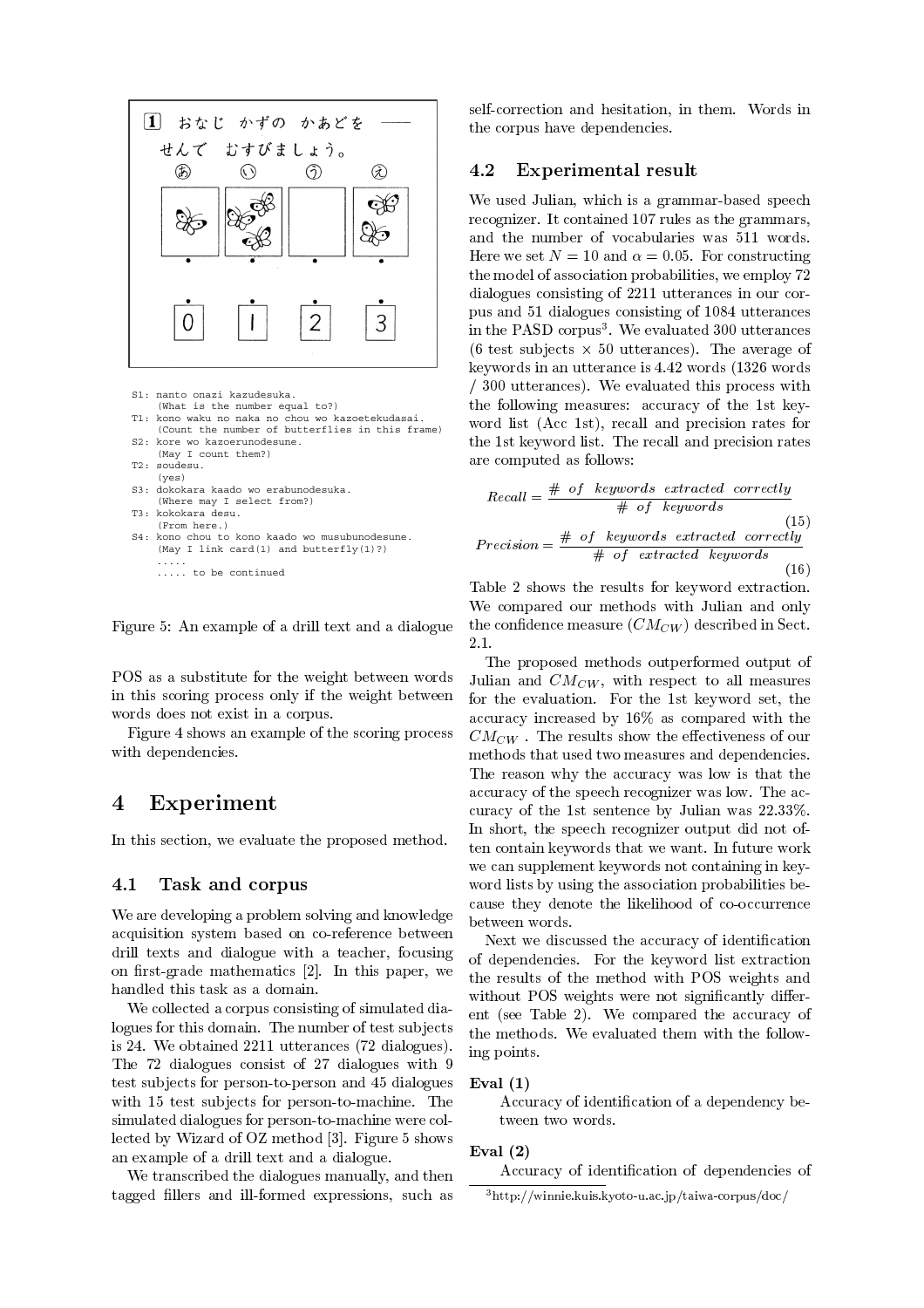

- S1: nanto onazi kazudesuka.
- (What is the number equal to?) kono waku no naka no chou wo kazoetekudasai. (Count the number of butterflies in this frame)
- S2: kore wo kazoerunodesune. (May I count them?)
- T2: soudesu.
- (yes)
- S3: dokokara kaado wo erabunodesuka.
- (Where may I select from?)
- T3: kokokara desu. (From here.)
- S4: kono chou to kono kaado wo musubunodesune. (May I link card(1) and butterfly(1)?) .....
	- ..... to be continued

 $8.8$  (and the set of the set of the set of the set of the set of the set of the set of the set of the set of the set of the set of the set of the set of the set of the set of the set of the set of the set of the set of t

 $\mathbf{A}$  $\blacksquare$  . The contract of the contract of the contract of the contract of the contract of the contract of the contract of the contract of the contract of the contract of the contract of the contract of the contract of the and the contract of the contract of the contract of the contract of the contract of the contract of the contract of the contract of the contract of the contract of the contract of the contract of the contract of the contra

 , 
 - 
 -  - - 

## 4 Experiment

- 
-  # 

#### 4.1

: # 
- 
#- - -E
- - -  - -  - $\mathbf{f}$  , and the set of the set of the set of the set of the set of the set of the set of the set of the set of the set of the set of the set of the set of the set of the set of the set of the set of the set of the set

: 

-- 

- - 
 @ ;, : 
- ;;77 - =4; 
 > 4; - ;4  / @ - - - ,8 
 78 and 200 and 200 and 200 and 200 and 200 and 200 and 200 and 200 and 200 and 200 and 200 and 200 and 200 and 
 --  : 
 !H 
 +<- 8 
 - A set of the set of the set of the set of the set of the set of the set of the set of the set of the set of the set of the set of the set of the set of the set of the set of the set of the set of the set of the set of th

: - 
 - - - - 
-

 
- - 
- - : - # - - 

#### 4.2 Experimental result

: .-  
- 
-- 704 

-  
 4;  $\mathbf{r}$  ,  $\mathbf{r}$  ,  $\mathbf{r}$  ,  $\mathbf{r}$  ,  $\mathbf{r}$  ,  $\mathbf{r}$  ,  $\mathbf{r}$  ,  $\mathbf{r}$  ,  $\mathbf{r}$  ,  $\mathbf{r}$  ,  $\mathbf{r}$  ,  $\mathbf{r}$  ,  $\mathbf{r}$  ,  $\mathbf{r}$  ,  $\mathbf{r}$  ,  $\mathbf{r}$  ,  $\mathbf{r}$  ,  $\mathbf{r}$  ,  $\mathbf{r}$  ,  $\mathbf{r}$  ,  $\blacksquare$  . The state of the state of the state of the state of the state of the state of the state of the state of the state of the state of the state of the state of the state of the state of the state of the state of the in the PASD corpus . We evaluated 500 utterances =2 @ 80 - > #  $\mathcal{L} = \mathcal{L} \mathcal{L}$  , and the set of the set of the set of the set of the set of the set of the set of the set of the set of the set of the set of the set of the set of the set of the set of the set of the set of the se I <00 - > : #  - 7  =( 7> - 
-  $\mathbf{r}$  and  $\mathbf{r}$  are the set of the set of the set of the set of the set of the set of the set of the set of the set of the set of the set of the set of the set of the set of the set of the set of the set of the set → Contract Contract Contract Contract Contract Contract Contract Contract Contract Contract Contract Contract Co

$$
Recall = \frac{\# \text{ of } keywords \text{ extracted correctly}}{\# \text{ of } keywords} \tag{15}
$$
\n
$$
Precision = \frac{\# \text{ of } keywords \text{ extracted correctly}}{\# \text{ of } extracted \text{ keywords}} \tag{16}
$$

 $\mathcal{L}_{\mathcal{L}}$  , and the contract of the contract of the contract of the contract of the contract of the contract of the contract of the contract of the contract of the contract of the contract of the contract of the cont  $\blacksquare$  . The set of the set of the set of the set of the set of the set of the set of the set of the set of the set of the set of the set of the set of the set of the set of the set of the set of the set of the set of the 
- - = > - \$ 2.1

 $J$  unair and  $U_{\ell\ell}(W)$ , with respect to an ineasures  $\overline{a}$  and  $\overline{a}$  and  $\overline{a}$  and  $\overline{a}$  are  $\overline{a}$  and  $\overline{a}$  and  $\overline{a}$  are  $\overline{a}$   -  - 721  
 " # 
 and the contract of the contract of the contract of the contract of the contract of the contract of the contract of the contract of the contract of the contract of the contract of the contract of the contract of the contra experience and the contract of the contract of the contract of the contract of the contract of the contract of 

-  
 7 - - .-  ;;<<1 - 
- 
 - - 
--   - -   - -  - 
--- - -between the contract of the contract of the contract of the contract of the contract of the contract of the contract of the contract of the contract of the contract of the contract of the contract of the contract of the c and the contract of the contract of the contract of the contract of the contract of the contract of the contract of the contract of the contract of the contract of the contract of the contract of the contract of the contra

ivext we discussed the accuracy of identification  $\circ$  or dependencies. For the keyword list extraction  $\ell$  the results of the method with PUS weights and  $\ell$ 
 )!\$   - - - " - = ;> : the methods. We evaluated them with the follow-- 
-

### -

( 
 - 
- 
 - - 

### -

is a contract of the contract of the contract of the contract of the contract of the contract of the contract of the contract of the contract of the contract of the contract of the contract of the contract of the contract

- nttp://winnie.kuis.kyoto-u.ac.jp/taiwa-corpus/doc/